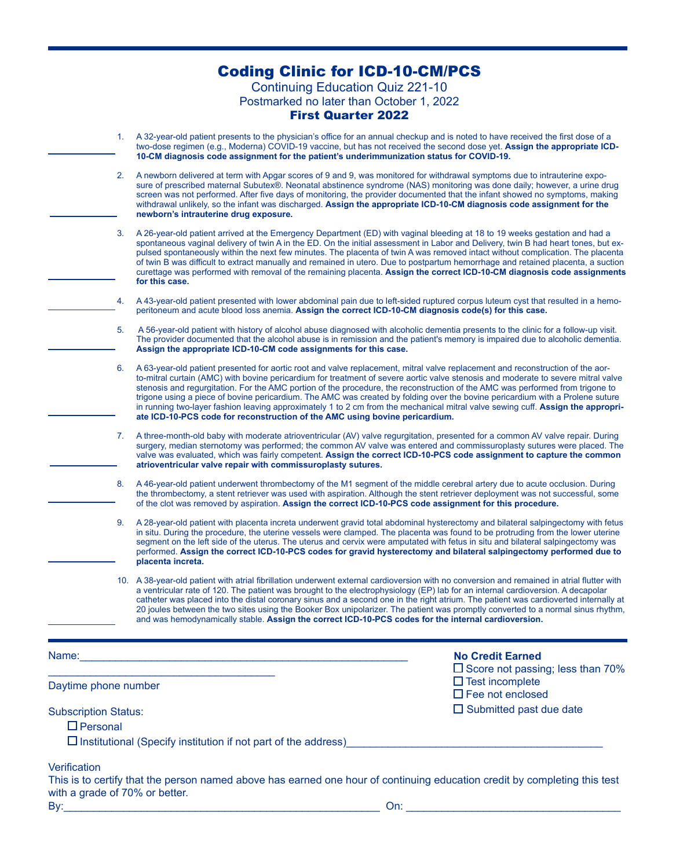|                                |    | <b>Coding Clinic for ICD-10-CM/PCS</b>                                                                                                                                                                                                                                                                                                                                                                                                                                                                                                                                                                                                                                                                                                                  |
|--------------------------------|----|---------------------------------------------------------------------------------------------------------------------------------------------------------------------------------------------------------------------------------------------------------------------------------------------------------------------------------------------------------------------------------------------------------------------------------------------------------------------------------------------------------------------------------------------------------------------------------------------------------------------------------------------------------------------------------------------------------------------------------------------------------|
|                                |    | <b>Continuing Education Quiz 221-10</b>                                                                                                                                                                                                                                                                                                                                                                                                                                                                                                                                                                                                                                                                                                                 |
|                                |    | Postmarked no later than October 1, 2022<br><b>First Quarter 2022</b>                                                                                                                                                                                                                                                                                                                                                                                                                                                                                                                                                                                                                                                                                   |
|                                | 1. | A 32-year-old patient presents to the physician's office for an annual checkup and is noted to have received the first dose of a<br>two-dose regimen (e.g., Moderna) COVID-19 vaccine, but has not received the second dose yet. Assign the appropriate ICD-<br>10-CM diagnosis code assignment for the patient's underimmunization status for COVID-19.                                                                                                                                                                                                                                                                                                                                                                                                |
|                                |    |                                                                                                                                                                                                                                                                                                                                                                                                                                                                                                                                                                                                                                                                                                                                                         |
|                                | 2. | A newborn delivered at term with Apgar scores of 9 and 9, was monitored for withdrawal symptoms due to intrauterine expo-<br>sure of prescribed maternal Subutex®. Neonatal abstinence syndrome (NAS) monitoring was done daily; however, a urine drug<br>screen was not performed. After five days of monitoring, the provider documented that the infant showed no symptoms, making<br>withdrawal unlikely, so the infant was discharged. Assign the appropriate ICD-10-CM diagnosis code assignment for the<br>newborn's intrauterine drug exposure.                                                                                                                                                                                                 |
|                                | 3. | A 26-year-old patient arrived at the Emergency Department (ED) with vaginal bleeding at 18 to 19 weeks gestation and had a<br>spontaneous vaginal delivery of twin A in the ED. On the initial assessment in Labor and Delivery, twin B had heart tones, but ex-<br>pulsed spontaneously within the next few minutes. The placenta of twin A was removed intact without complication. The placenta<br>of twin B was difficult to extract manually and remained in utero. Due to postpartum hemorrhage and retained placenta, a suction<br>curettage was performed with removal of the remaining placenta. Assign the correct ICD-10-CM diagnosis code assignments<br>for this case.                                                                     |
|                                | 4. | A 43-year-old patient presented with lower abdominal pain due to left-sided ruptured corpus luteum cyst that resulted in a hemo-<br>peritoneum and acute blood loss anemia. Assign the correct ICD-10-CM diagnosis code(s) for this case.                                                                                                                                                                                                                                                                                                                                                                                                                                                                                                               |
|                                | 5. | A 56-year-old patient with history of alcohol abuse diagnosed with alcoholic dementia presents to the clinic for a follow-up visit.<br>The provider documented that the alcohol abuse is in remission and the patient's memory is impaired due to alcoholic dementia.<br>Assign the appropriate ICD-10-CM code assignments for this case.                                                                                                                                                                                                                                                                                                                                                                                                               |
|                                | 6. | A 63-year-old patient presented for aortic root and valve replacement, mitral valve replacement and reconstruction of the aor-<br>to-mitral curtain (AMC) with bovine pericardium for treatment of severe aortic valve stenosis and moderate to severe mitral valve<br>stenosis and regurgitation. For the AMC portion of the procedure, the reconstruction of the AMC was performed from trigone to<br>trigone using a piece of bovine pericardium. The AMC was created by folding over the bovine pericardium with a Prolene suture<br>in running two-layer fashion leaving approximately 1 to 2 cm from the mechanical mitral valve sewing cuff. Assign the appropri-<br>ate ICD-10-PCS code for reconstruction of the AMC using bovine pericardium. |
|                                | 7. | A three-month-old baby with moderate atrioventricular (AV) valve regurgitation, presented for a common AV valve repair. During<br>surgery, median sternotomy was performed; the common AV valve was entered and commissuroplasty sutures were placed. The<br>valve was evaluated, which was fairly competent. Assign the correct ICD-10-PCS code assignment to capture the common<br>atrioventricular valve repair with commissuroplasty sutures.                                                                                                                                                                                                                                                                                                       |
|                                | 8. | A 46-year-old patient underwent thrombectomy of the M1 segment of the middle cerebral artery due to acute occlusion. During<br>the thrombectomy, a stent retriever was used with aspiration. Although the stent retriever deployment was not successful, some<br>of the clot was removed by aspiration. Assign the correct ICD-10-PCS code assignment for this procedure.                                                                                                                                                                                                                                                                                                                                                                               |
|                                | 9. | A 28-year-old patient with placenta increta underwent gravid total abdominal hysterectomy and bilateral salpingectomy with fetus<br>in situ. During the procedure, the uterine vessels were clamped. The placenta was found to be protruding from the lower uterine<br>segment on the left side of the uterus. The uterus and cervix were amputated with fetus in situ and bilateral salpingectomy was<br>performed. Assign the correct ICD-10-PCS codes for gravid hysterectomy and bilateral salpingectomy performed due to<br>placenta increta.                                                                                                                                                                                                      |
|                                |    | 10. A 38-year-old patient with atrial fibrillation underwent external cardioversion with no conversion and remained in atrial flutter with<br>a ventricular rate of 120. The patient was brought to the electrophysiology (EP) lab for an internal cardioversion. A decapolar<br>catheter was placed into the distal coronary sinus and a second one in the right atrium. The patient was cardioverted internally at<br>20 joules between the two sites using the Booker Box unipolarizer. The patient was promptly converted to a normal sinus rhythm,<br>and was hemodynamically stable. Assign the correct ICD-10-PCS codes for the internal cardioversion.                                                                                          |
|                                |    | <b>No Credit Earned</b>                                                                                                                                                                                                                                                                                                                                                                                                                                                                                                                                                                                                                                                                                                                                 |
| Daytime phone number           |    | $\Box$ Score not passing; less than 70%<br>$\Box$ Test incomplete<br>$\Box$ Fee not enclosed                                                                                                                                                                                                                                                                                                                                                                                                                                                                                                                                                                                                                                                            |
| <b>Subscription Status:</b>    |    | $\Box$ Submitted past due date                                                                                                                                                                                                                                                                                                                                                                                                                                                                                                                                                                                                                                                                                                                          |
| $\Box$ Personal                |    | $\Box$ Institutional (Specify institution if not part of the address)                                                                                                                                                                                                                                                                                                                                                                                                                                                                                                                                                                                                                                                                                   |
| Verification                   |    |                                                                                                                                                                                                                                                                                                                                                                                                                                                                                                                                                                                                                                                                                                                                                         |
| with a grade of 70% or better. |    | This is to certify that the person named above has earned one hour of continuing education credit by completing this test                                                                                                                                                                                                                                                                                                                                                                                                                                                                                                                                                                                                                               |
| By:                            |    | On:                                                                                                                                                                                                                                                                                                                                                                                                                                                                                                                                                                                                                                                                                                                                                     |